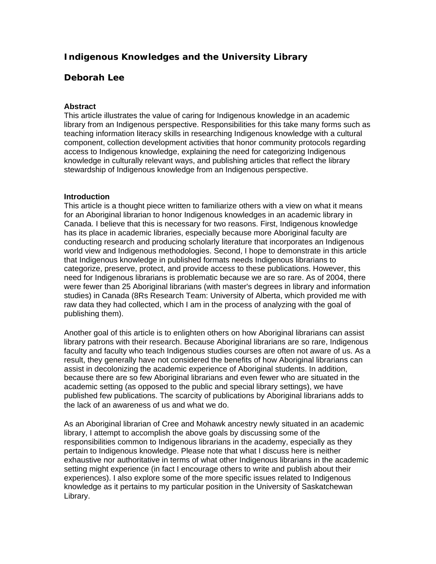# **Indigenous Knowledges and the University Library**

## **Deborah Lee**

## **Abstract**

This article illustrates the value of caring for Indigenous knowledge in an academic library from an Indigenous perspective. Responsibilities for this take many forms such as teaching information literacy skills in researching Indigenous knowledge with a cultural component, collection development activities that honor community protocols regarding access to Indigenous knowledge, explaining the need for categorizing Indigenous knowledge in culturally relevant ways, and publishing articles that reflect the library stewardship of Indigenous knowledge from an Indigenous perspective.

## **Introduction**

This article is a thought piece written to familiarize others with a view on what it means for an Aboriginal librarian to honor Indigenous knowledges in an academic library in Canada. I believe that this is necessary for two reasons. First, Indigenous knowledge has its place in academic libraries, especially because more Aboriginal faculty are conducting research and producing scholarly literature that incorporates an Indigenous world view and Indigenous methodologies. Second, I hope to demonstrate in this article that Indigenous knowledge in published formats needs Indigenous librarians to categorize, preserve, protect, and provide access to these publications. However, this need for Indigenous librarians is problematic because we are so rare. As of 2004, there were fewer than 25 Aboriginal librarians (with master's degrees in library and information studies) in Canada (8Rs Research Team: University of Alberta, which provided me with raw data they had collected, which I am in the process of analyzing with the goal of publishing them).

Another goal of this article is to enlighten others on how Aboriginal librarians can assist library patrons with their research. Because Aboriginal librarians are so rare, Indigenous faculty and faculty who teach Indigenous studies courses are often not aware of us. As a result, they generally have not considered the benefits of how Aboriginal librarians can assist in decolonizing the academic experience of Aboriginal students. In addition, because there are so few Aboriginal librarians and even fewer who are situated in the academic setting (as opposed to the public and special library settings), we have published few publications. The scarcity of publications by Aboriginal librarians adds to the lack of an awareness of us and what we do.

As an Aboriginal librarian of Cree and Mohawk ancestry newly situated in an academic library, I attempt to accomplish the above goals by discussing some of the responsibilities common to Indigenous librarians in the academy, especially as they pertain to Indigenous knowledge. Please note that what I discuss here is neither exhaustive nor authoritative in terms of what other Indigenous librarians in the academic setting might experience (in fact I encourage others to write and publish about their experiences). I also explore some of the more specific issues related to Indigenous knowledge as it pertains to my particular position in the University of Saskatchewan Library.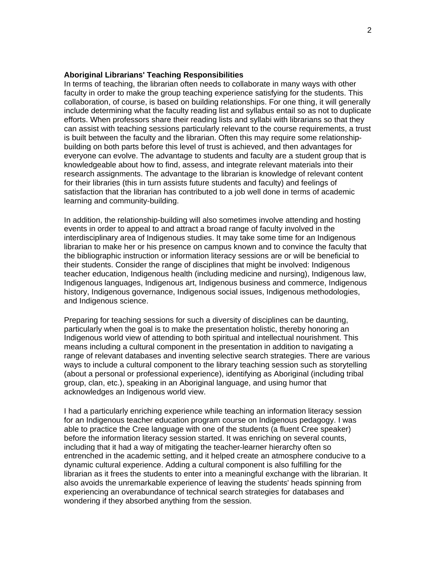## **Aboriginal Librarians' Teaching Responsibilities**

In terms of teaching, the librarian often needs to collaborate in many ways with other faculty in order to make the group teaching experience satisfying for the students. This collaboration, of course, is based on building relationships. For one thing, it will generally include determining what the faculty reading list and syllabus entail so as not to duplicate efforts. When professors share their reading lists and syllabi with librarians so that they can assist with teaching sessions particularly relevant to the course requirements, a trust is built between the faculty and the librarian. Often this may require some relationshipbuilding on both parts before this level of trust is achieved, and then advantages for everyone can evolve. The advantage to students and faculty are a student group that is knowledgeable about how to find, assess, and integrate relevant materials into their research assignments. The advantage to the librarian is knowledge of relevant content for their libraries (this in turn assists future students and faculty) and feelings of satisfaction that the librarian has contributed to a job well done in terms of academic learning and community-building.

In addition, the relationship-building will also sometimes involve attending and hosting events in order to appeal to and attract a broad range of faculty involved in the interdisciplinary area of Indigenous studies. It may take some time for an Indigenous librarian to make her or his presence on campus known and to convince the faculty that the bibliographic instruction or information literacy sessions are or will be beneficial to their students. Consider the range of disciplines that might be involved: Indigenous teacher education, Indigenous health (including medicine and nursing), Indigenous law, Indigenous languages, Indigenous art, Indigenous business and commerce, Indigenous history, Indigenous governance, Indigenous social issues, Indigenous methodologies, and Indigenous science.

Preparing for teaching sessions for such a diversity of disciplines can be daunting, particularly when the goal is to make the presentation holistic, thereby honoring an Indigenous world view of attending to both spiritual and intellectual nourishment. This means including a cultural component in the presentation in addition to navigating a range of relevant databases and inventing selective search strategies. There are various ways to include a cultural component to the library teaching session such as storytelling (about a personal or professional experience), identifying as Aboriginal (including tribal group, clan, etc.), speaking in an Aboriginal language, and using humor that acknowledges an Indigenous world view.

I had a particularly enriching experience while teaching an information literacy session for an Indigenous teacher education program course on Indigenous pedagogy. I was able to practice the Cree language with one of the students (a fluent Cree speaker) before the information literacy session started. It was enriching on several counts, including that it had a way of mitigating the teacher-learner hierarchy often so entrenched in the academic setting, and it helped create an atmosphere conducive to a dynamic cultural experience. Adding a cultural component is also fulfilling for the librarian as it frees the students to enter into a meaningful exchange with the librarian. It also avoids the unremarkable experience of leaving the students' heads spinning from experiencing an overabundance of technical search strategies for databases and wondering if they absorbed anything from the session.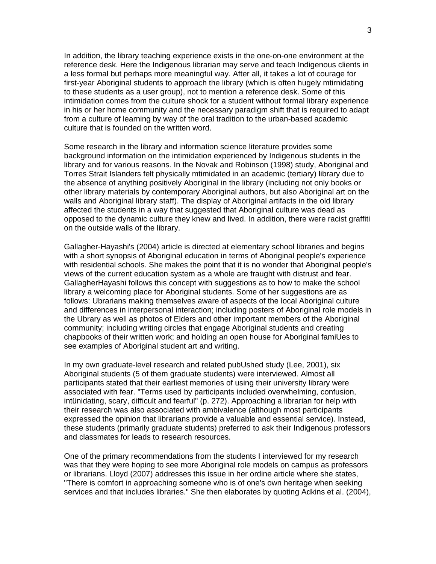In addition, the library teaching experience exists in the one-on-one environment at the reference desk. Here the Indigenous librarian may serve and teach Indigenous clients in a less formal but perhaps more meaningful way. After all, it takes a lot of courage for first-year Aboriginal students to approach the library (which is often hugely mtirnidating to these students as a user group), not to mention a reference desk. Some of this intimidation comes from the culture shock for a student without formal library experience in his or her home community and the necessary paradigm shift that is required to adapt from a culture of learning by way of the oral tradition to the urban-based academic culture that is founded on the written word.

Some research in the library and information science literature provides some background information on the intimidation experienced by Indigenous students in the library and for various reasons. In the Novak and Robinson (1998) study, Aboriginal and Torres Strait Islanders felt physically mtimidated in an academic (tertiary) library due to the absence of anything positively Aboriginal in the library (including not only books or other library materials by contemporary Aboriginal authors, but also Aboriginal art on the walls and Aboriginal library staff). The display of Aboriginal artifacts in the old library affected the students in a way that suggested that Aboriginal culture was dead as opposed to the dynamic culture they knew and lived. In addition, there were racist graffiti on the outside walls of the library.

Gallagher-Hayashi's (2004) article is directed at elementary school libraries and begins with a short synopsis of Aboriginal education in terms of Aboriginal people's experience with residential schools. She makes the point that it is no wonder that Aboriginal people's views of the current education system as a whole are fraught with distrust and fear. GallagherHayashi follows this concept with suggestions as to how to make the school library a welcoming place for Aboriginal students. Some of her suggestions are as follows: Ubrarians making themselves aware of aspects of the local Aboriginal culture and differences in interpersonal interaction; including posters of Aboriginal role models in the Ubrary as well as photos of Elders and other important members of the Aboriginal community; including writing circles that engage Aboriginal students and creating chapbooks of their written work; and holding an open house for Aboriginal famiUes to see examples of Aboriginal student art and writing.

In my own graduate-level research and related pubUshed study (Lee, 2001), six Aboriginal students (5 of them graduate students) were interviewed. Almost all participants stated that their earliest memories of using their university library were associated with fear. "Terms used by participants included overwhelming, confusion, intünidating, scary, difficult and fearful" (p. 272). Approaching a librarian for help with their research was also associated with ambivalence (although most participants expressed the opinion that librarians provide a valuable and essential service). Instead, these students (primarily graduate students) preferred to ask their Indigenous professors and classmates for leads to research resources.

One of the primary recommendations from the students I interviewed for my research was that they were hoping to see more Aboriginal role models on campus as professors or librarians. Lloyd (2007) addresses this issue in her ordine article where she states, "There is comfort in approaching someone who is of one's own heritage when seeking services and that includes libraries." She then elaborates by quoting Adkins et al. (2004),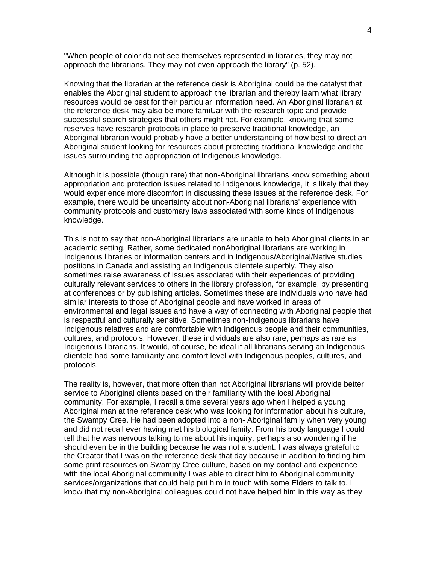"When people of color do not see themselves represented in libraries, they may not approach the librarians. They may not even approach the library" (p. 52).

Knowing that the librarian at the reference desk is Aboriginal could be the catalyst that enables the Aboriginal student to approach the librarian and thereby learn what library resources would be best for their particular information need. An Aboriginal librarian at the reference desk may also be more famiUar with the research topic and provide successful search strategies that others might not. For example, knowing that some reserves have research protocols in place to preserve traditional knowledge, an Aboriginal librarian would probably have a better understanding of how best to direct an Aboriginal student looking for resources about protecting traditional knowledge and the issues surrounding the appropriation of Indigenous knowledge.

Although it is possible (though rare) that non-Aboriginal librarians know something about appropriation and protection issues related to Indigenous knowledge, it is likely that they would experience more discomfort in discussing these issues at the reference desk. For example, there would be uncertainty about non-Aboriginal librarians' experience with community protocols and customary laws associated with some kinds of Indigenous knowledge.

This is not to say that non-Aboriginal librarians are unable to help Aboriginal clients in an academic setting. Rather, some dedicated nonAboriginal librarians are working in Indigenous libraries or information centers and in Indigenous/Aboriginal/Native studies positions in Canada and assisting an Indigenous clientele superbly. They also sometimes raise awareness of issues associated with their experiences of providing culturally relevant services to others in the library profession, for example, by presenting at conferences or by publishing articles. Sometimes these are individuals who have had similar interests to those of Aboriginal people and have worked in areas of environmental and legal issues and have a way of connecting with Aboriginal people that is respectful and culturally sensitive. Sometimes non-Indigenous librarians have Indigenous relatives and are comfortable with Indigenous people and their communities, cultures, and protocols. However, these individuals are also rare, perhaps as rare as Indigenous librarians. It would, of course, be ideal if all librarians serving an Indigenous clientele had some familiarity and comfort level with Indigenous peoples, cultures, and protocols.

The reality is, however, that more often than not Aboriginal librarians will provide better service to Aboriginal clients based on their familiarity with the local Aboriginal community. For example, I recall a time several years ago when I helped a young Aboriginal man at the reference desk who was looking for information about his culture, the Swampy Cree. He had been adopted into a non- Aboriginal family when very young and did not recall ever having met his biological family. From his body language I could tell that he was nervous talking to me about his inquiry, perhaps also wondering if he should even be in the building because he was not a student. I was always grateful to the Creator that I was on the reference desk that day because in addition to finding him some print resources on Swampy Cree culture, based on my contact and experience with the local Aboriginal community I was able to direct him to Aboriginal community services/organizations that could help put him in touch with some Elders to talk to. I know that my non-Aboriginal colleagues could not have helped him in this way as they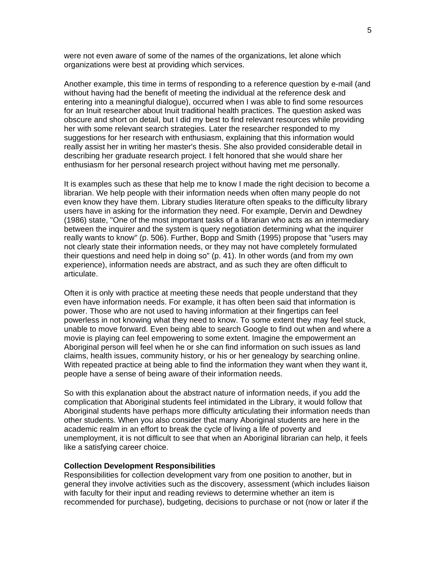were not even aware of some of the names of the organizations, let alone which organizations were best at providing which services.

Another example, this time in terms of responding to a reference question by e-mail (and without having had the benefit of meeting the individual at the reference desk and entering into a meaningful dialogue), occurred when I was able to find some resources for an Inuit researcher about Inuit traditional health practices. The question asked was obscure and short on detail, but I did my best to find relevant resources while providing her with some relevant search strategies. Later the researcher responded to my suggestions for her research with enthusiasm, explaining that this information would really assist her in writing her master's thesis. She also provided considerable detail in describing her graduate research project. I felt honored that she would share her enthusiasm for her personal research project without having met me personally.

It is examples such as these that help me to know I made the right decision to become a librarian. We help people with their information needs when often many people do not even know they have them. Library studies literature often speaks to the difficulty library users have in asking for the information they need. For example, Dervin and Dewdney (1986) state, "One of the most important tasks of a librarian who acts as an intermediary between the inquirer and the system is query negotiation determining what the inquirer really wants to know" (p. 506). Further, Bopp and Smith (1995) propose that "users may not clearly state their information needs, or they may not have completely formulated their questions and need help in doing so" (p. 41). In other words (and from my own experience), information needs are abstract, and as such they are often difficult to articulate.

Often it is only with practice at meeting these needs that people understand that they even have information needs. For example, it has often been said that information is power. Those who are not used to having information at their fingertips can feel powerless in not knowing what they need to know. To some extent they may feel stuck, unable to move forward. Even being able to search Google to find out when and where a movie is playing can feel empowering to some extent. Imagine the empowerment an Aboriginal person will feel when he or she can find information on such issues as land claims, health issues, community history, or his or her genealogy by searching online. With repeated practice at being able to find the information they want when they want it, people have a sense of being aware of their information needs.

So with this explanation about the abstract nature of information needs, if you add the complication that Aboriginal students feel intimidated in the Library, it would follow that Aboriginal students have perhaps more difficulty articulating their information needs than other students. When you also consider that many Aboriginal students are here in the academic realm in an effort to break the cycle of living a life of poverty and unemployment, it is not difficult to see that when an Aboriginal librarian can help, it feels like a satisfying career choice.

### **Collection Development Responsibilities**

Responsibilities for collection development vary from one position to another, but in general they involve activities such as the discovery, assessment (which includes liaison with faculty for their input and reading reviews to determine whether an item is recommended for purchase), budgeting, decisions to purchase or not (now or later if the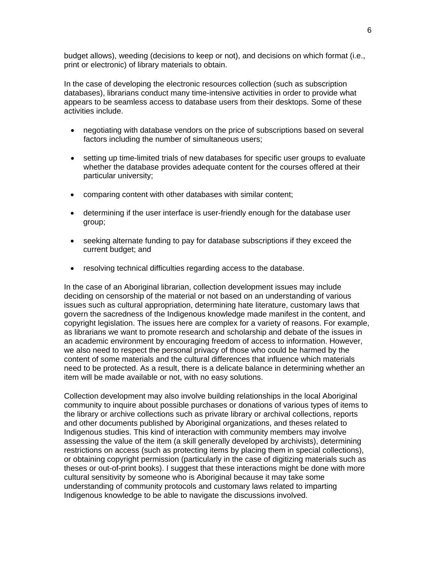budget allows), weeding (decisions to keep or not), and decisions on which format (i.e., print or electronic) of library materials to obtain.

In the case of developing the electronic resources collection (such as subscription databases), librarians conduct many time-intensive activities in order to provide what appears to be seamless access to database users from their desktops. Some of these activities include.

- negotiating with database vendors on the price of subscriptions based on several factors including the number of simultaneous users;
- setting up time-limited trials of new databases for specific user groups to evaluate whether the database provides adequate content for the courses offered at their particular university;
- comparing content with other databases with similar content;
- determining if the user interface is user-friendly enough for the database user group;
- seeking alternate funding to pay for database subscriptions if they exceed the current budget; and
- resolving technical difficulties regarding access to the database.

In the case of an Aboriginal librarian, collection development issues may include deciding on censorship of the material or not based on an understanding of various issues such as cultural appropriation, determining hate literature, customary laws that govern the sacredness of the Indigenous knowledge made manifest in the content, and copyright legislation. The issues here are complex for a variety of reasons. For example, as librarians we want to promote research and scholarship and debate of the issues in an academic environment by encouraging freedom of access to information. However, we also need to respect the personal privacy of those who could be harmed by the content of some materials and the cultural differences that influence which materials need to be protected. As a result, there is a delicate balance in determining whether an item will be made available or not, with no easy solutions.

Collection development may also involve building relationships in the local Aboriginal community to inquire about possible purchases or donations of various types of items to the library or archive collections such as private library or archival collections, reports and other documents published by Aboriginal organizations, and theses related to Indigenous studies. This kind of interaction with community members may involve assessing the value of the item (a skill generally developed by archivists), determining restrictions on access (such as protecting items by placing them in special collections), or obtaining copyright permission (particularly in the case of digitizing materials such as theses or out-of-print books). I suggest that these interactions might be done with more cultural sensitivity by someone who is Aboriginal because it may take some understanding of community protocols and customary laws related to imparting Indigenous knowledge to be able to navigate the discussions involved.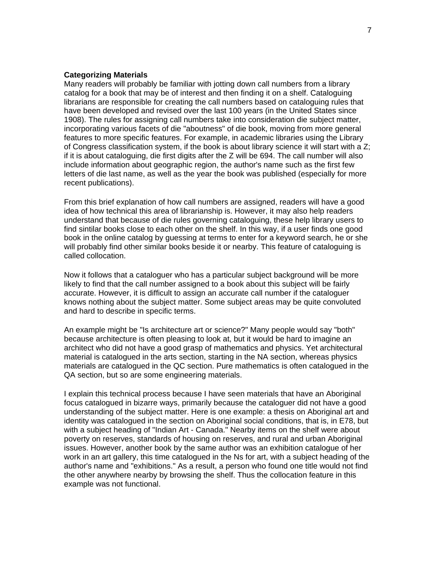#### **Categorizing Materials**

Many readers will probably be familiar with jotting down call numbers from a library catalog for a book that may be of interest and then finding it on a shelf. Cataloguing librarians are responsible for creating the call numbers based on cataloguing rules that have been developed and revised over the last 100 years (in the United States since 1908). The rules for assigning call numbers take into consideration die subject matter, incorporating various facets of die "aboutness" of die book, moving from more general features to more specific features. For example, in academic libraries using the Library of Congress classification system, if the book is about library science it will start with a Z; if it is about cataloguing, die first digits after the Z will be 694. The call number will also include information about geographic region, the author's name such as the first few letters of die last name, as well as the year the book was published (especially for more recent publications).

From this brief explanation of how call numbers are assigned, readers will have a good idea of how technical this area of librarianship is. However, it may also help readers understand that because of die rules governing cataloguing, these help library users to find sintilar books close to each other on the shelf. In this way, if a user finds one good book in the online catalog by guessing at terms to enter for a keyword search, he or she will probably find other similar books beside it or nearby. This feature of cataloguing is called collocation.

Now it follows that a cataloguer who has a particular subject background will be more likely to find that the call number assigned to a book about this subject will be fairly accurate. However, it is difficult to assign an accurate call number if the cataloguer knows nothing about the subject matter. Some subject areas may be quite convoluted and hard to describe in specific terms.

An example might be "Is architecture art or science?" Many people would say "both" because architecture is often pleasing to look at, but it would be hard to imagine an architect who did not have a good grasp of mathematics and physics. Yet architectural material is catalogued in the arts section, starting in the NA section, whereas physics materials are catalogued in the QC section. Pure mathematics is often catalogued in the QA section, but so are some engineering materials.

I explain this technical process because I have seen materials that have an Aboriginal focus catalogued in bizarre ways, primarily because the cataloguer did not have a good understanding of the subject matter. Here is one example: a thesis on Aboriginal art and identity was catalogued in the section on Aboriginal social conditions, that is, in E78, but with a subject heading of "Indian Art - Canada." Nearby items on the shelf were about poverty on reserves, standards of housing on reserves, and rural and urban Aboriginal issues. However, another book by the same author was an exhibition catalogue of her work in an art gallery, this time catalogued in the Ns for art, with a subject heading of the author's name and "exhibitions." As a result, a person who found one title would not find the other anywhere nearby by browsing the shelf. Thus the collocation feature in this example was not functional.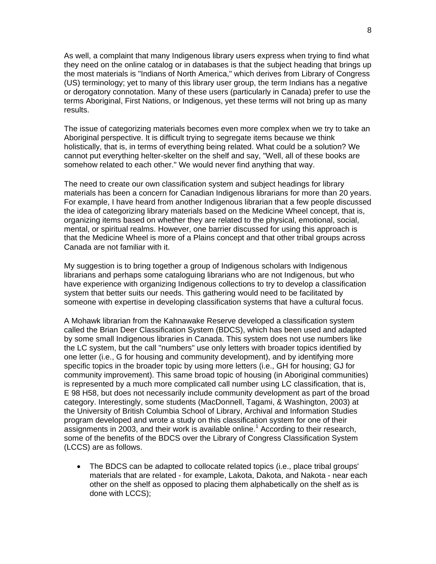As well, a complaint that many Indigenous library users express when trying to find what they need on the online catalog or in databases is that the subject heading that brings up the most materials is "Indians of North America," which derives from Library of Congress (US) terminology; yet to many of this library user group, the term Indians has a negative or derogatory connotation. Many of these users (particularly in Canada) prefer to use the terms Aboriginal, First Nations, or Indigenous, yet these terms will not bring up as many results.

The issue of categorizing materials becomes even more complex when we try to take an Aboriginal perspective. It is difficult trying to segregate items because we think holistically, that is, in terms of everything being related. What could be a solution? We cannot put everything helter-skelter on the shelf and say, "Well, all of these books are somehow related to each other." We would never find anything that way.

The need to create our own classification system and subject headings for library materials has been a concern for Canadian Indigenous librarians for more than 20 years. For example, I have heard from another Indigenous librarian that a few people discussed the idea of categorizing library materials based on the Medicine Wheel concept, that is, organizing items based on whether they are related to the physical, emotional, social, mental, or spiritual realms. However, one barrier discussed for using this approach is that the Medicine Wheel is more of a Plains concept and that other tribal groups across Canada are not familiar with it.

My suggestion is to bring together a group of Indigenous scholars with Indigenous librarians and perhaps some cataloguing librarians who are not Indigenous, but who have experience with organizing Indigenous collections to try to develop a classification system that better suits our needs. This gathering would need to be facilitated by someone with expertise in developing classification systems that have a cultural focus.

A Mohawk librarian from the Kahnawake Reserve developed a classification system called the Brian Deer Classification System (BDCS), which has been used and adapted by some small Indigenous libraries in Canada. This system does not use numbers like the LC system, but the call "numbers" use only letters with broader topics identified by one letter (i.e., G for housing and community development), and by identifying more specific topics in the broader topic by using more letters (i.e., GH for housing; GJ for community improvement). This same broad topic of housing (in Aboriginal communities) is represented by a much more complicated call number using LC classification, that is, E 98 H58, but does not necessarily include community development as part of the broad category. Interestingly, some students (MacDonnell, Tagami, & Washington, 2003) at the University of British Columbia School of Library, Archival and Information Studies program developed and wrote a study on this classification system for one of their assignments in 2003, and their work is available online.<sup>1</sup> According to their research, some of the benefits of the BDCS over the Library of Congress Classification System (LCCS) are as follows.

• The BDCS can be adapted to collocate related topics (i.e., place tribal groups' materials that are related - for example, Lakota, Dakota, and Nakota - near each other on the shelf as opposed to placing them alphabetically on the shelf as is done with LCCS);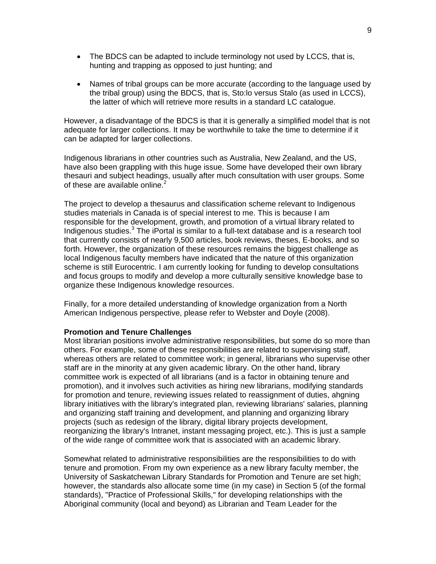- The BDCS can be adapted to include terminology not used by LCCS, that is, hunting and trapping as opposed to just hunting; and
- Names of tribal groups can be more accurate (according to the language used by the tribal group) using the BDCS, that is, Sto:lo versus Stalo (as used in LCCS), the latter of which will retrieve more results in a standard LC catalogue.

However, a disadvantage of the BDCS is that it is generally a simplified model that is not adequate for larger collections. It may be worthwhile to take the time to determine if it can be adapted for larger collections.

Indigenous librarians in other countries such as Australia, New Zealand, and the US, have also been grappling with this huge issue. Some have developed their own library thesauri and subject headings, usually after much consultation with user groups. Some of these are available online. $2$ 

The project to develop a thesaurus and classification scheme relevant to Indigenous studies materials in Canada is of special interest to me. This is because I am responsible for the development, growth, and promotion of a virtual library related to Indigenous studies.<sup>3</sup> The iPortal is similar to a full-text database and is a research tool that currently consists of nearly 9,500 articles, book reviews, theses, E-books, and so forth. However, the organization of these resources remains the biggest challenge as local Indigenous faculty members have indicated that the nature of this organization scheme is still Eurocentric. I am currently looking for funding to develop consultations and focus groups to modify and develop a more culturally sensitive knowledge base to organize these Indigenous knowledge resources.

Finally, for a more detailed understanding of knowledge organization from a North American Indigenous perspective, please refer to Webster and Doyle (2008).

### **Promotion and Tenure Challenges**

Most librarian positions involve administrative responsibilities, but some do so more than others. For example, some of these responsibilities are related to supervising staff, whereas others are related to committee work; in general, librarians who supervise other staff are in the minority at any given academic library. On the other hand, library committee work is expected of all librarians (and is a factor in obtaining tenure and promotion), and it involves such activities as hiring new librarians, modifying standards for promotion and tenure, reviewing issues related to reassignment of duties, ahgning library initiatives with the library's integrated plan, reviewing librarians' salaries, planning and organizing staff training and development, and planning and organizing library projects (such as redesign of the library, digital library projects development, reorganizing the library's Intranet, instant messaging project, etc.). This is just a sample of the wide range of committee work that is associated with an academic library.

Somewhat related to administrative responsibilities are the responsibilities to do with tenure and promotion. From my own experience as a new library faculty member, the University of Saskatchewan Library Standards for Promotion and Tenure are set high; however, the standards also allocate some time (in my case) in Section 5 (of the formal standards), "Practice of Professional Skills," for developing relationships with the Aboriginal community (local and beyond) as Librarian and Team Leader for the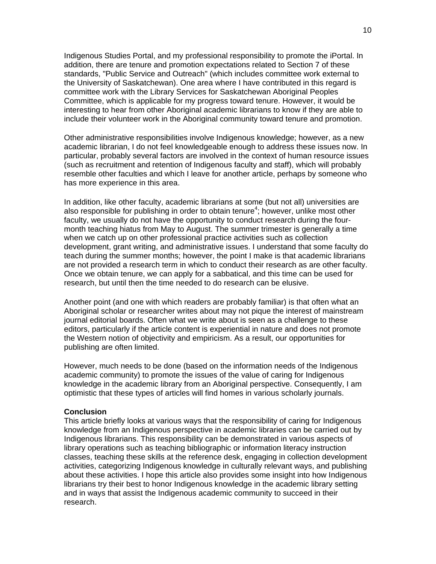Indigenous Studies Portal, and my professional responsibility to promote the iPortal. In addition, there are tenure and promotion expectations related to Section 7 of these standards, "Public Service and Outreach" (which includes committee work external to the University of Saskatchewan). One area where I have contributed in this regard is committee work with the Library Services for Saskatchewan Aboriginal Peoples Committee, which is applicable for my progress toward tenure. However, it would be interesting to hear from other Aboriginal academic librarians to know if they are able to include their volunteer work in the Aboriginal community toward tenure and promotion.

Other administrative responsibilities involve Indigenous knowledge; however, as a new academic librarian, I do not feel knowledgeable enough to address these issues now. In particular, probably several factors are involved in the context of human resource issues (such as recruitment and retention of Indigenous faculty and staff), which will probably resemble other faculties and which I leave for another article, perhaps by someone who has more experience in this area.

In addition, like other faculty, academic librarians at some (but not all) universities are also responsible for publishing in order to obtain tenure<sup>4</sup>; however, unlike most other faculty, we usually do not have the opportunity to conduct research during the fourmonth teaching hiatus from May to August. The summer trimester is generally a time when we catch up on other professional practice activities such as collection development, grant writing, and administrative issues. I understand that some faculty do teach during the summer months; however, the point I make is that academic librarians are not provided a research term in which to conduct their research as are other faculty. Once we obtain tenure, we can apply for a sabbatical, and this time can be used for research, but until then the time needed to do research can be elusive.

Another point (and one with which readers are probably familiar) is that often what an Aboriginal scholar or researcher writes about may not pique the interest of mainstream journal editorial boards. Often what we write about is seen as a challenge to these editors, particularly if the article content is experiential in nature and does not promote the Western notion of objectivity and empiricism. As a result, our opportunities for publishing are often limited.

However, much needs to be done (based on the information needs of the Indigenous academic community) to promote the issues of the value of caring for Indigenous knowledge in the academic library from an Aboriginal perspective. Consequently, I am optimistic that these types of articles will find homes in various scholarly journals.

#### **Conclusion**

This article briefly looks at various ways that the responsibility of caring for Indigenous knowledge from an Indigenous perspective in academic libraries can be carried out by Indigenous librarians. This responsibility can be demonstrated in various aspects of library operations such as teaching bibliographic or information literacy instruction classes, teaching these skills at the reference desk, engaging in collection development activities, categorizing Indigenous knowledge in culturally relevant ways, and publishing about these activities. I hope this article also provides some insight into how Indigenous librarians try their best to honor Indigenous knowledge in the academic library setting and in ways that assist the Indigenous academic community to succeed in their research.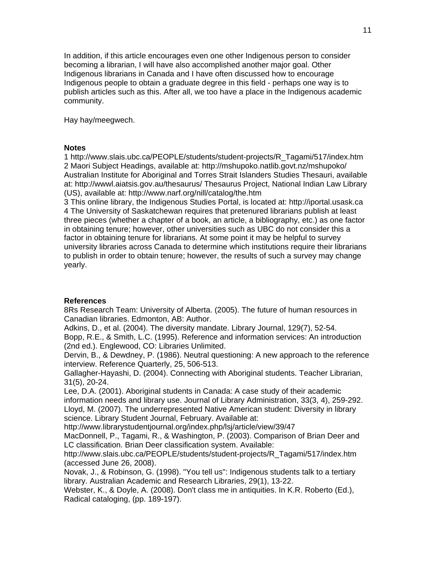In addition, if this article encourages even one other Indigenous person to consider becoming a librarian, I will have also accomplished another major goal. Other Indigenous librarians in Canada and I have often discussed how to encourage Indigenous people to obtain a graduate degree in this field - perhaps one way is to publish articles such as this. After all, we too have a place in the Indigenous academic community.

Hay hay/meegwech.

#### **Notes**

1 http://www.slais.ubc.ca/PEOPLE/students/student-projects/R\_Tagami/517/index.htm 2 Maori Subject Headings, available at: http://mshupoko.natlib.govt.nz/mshupoko/ Australian Institute for Aboriginal and Torres Strait Islanders Studies Thesauri, available at: http://wwwl.aiatsis.gov.au/thesaurus/ Thesaurus Project, National Indian Law Library (US), available at: http://www.narf.org/nill/catalog/the.htm

3 This online library, the Indigenous Studies Portal, is located at: http://iportal.usask.ca 4 The University of Saskatchewan requires that pretenured librarians publish at least three pieces (whether a chapter of a book, an article, a bibliography, etc.) as one factor in obtaining tenure; however, other universities such as UBC do not consider this a factor in obtaining tenure for librarians. At some point it may be helpful to survey university libraries across Canada to determine which institutions require their librarians to publish in order to obtain tenure; however, the results of such a survey may change yearly.

## **References**

8Rs Research Team: University of Alberta. (2005). The future of human resources in Canadian libraries. Edmonton, AB: Author.

Adkins, D., et al. (2004). The diversity mandate. Library Journal, 129(7), 52-54. Bopp, R.E., & Smith, L.C. (1995). Reference and information services: An introduction (2nd ed.). Englewood, CO: Libraries Unlimited.

Dervin, B., & Dewdney, P. (1986). Neutral questioning: A new approach to the reference interview. Reference Quarterly, 25, 506-513.

Gallagher-Hayashi, D. (2004). Connecting with Aboriginal students. Teacher Librarian, 31(5), 20-24.

Lee, D.A. (2001). Aboriginal students in Canada: A case study of their academic information needs and library use. Journal of Library Administration, 33(3, 4), 259-292. Lloyd, M. (2007). The underrepresented Native American student: Diversity in library science. Library Student Journal, February. Available at:

http://www.librarystudentjournal.org/index.php/lsj/article/view/39/47

MacDonnell, P., Tagami, R., & Washington, P. (2003). Comparison of Brian Deer and LC classification. Brian Deer classification system. Available:

http://www.slais.ubc.ca/PEOPLE/students/student-projects/R\_Tagami/517/index.htm (accessed June 26, 2008).

Novak, J., & Robinson, G. (1998). "You tell us": Indigenous students talk to a tertiary library. Australian Academic and Research Libraries, 29(1), 13-22.

Webster, K., & Doyle, A. (2008). Don't class me in antiquities. In K.R. Roberto (Ed.), Radical cataloging, (pp. 189-197).